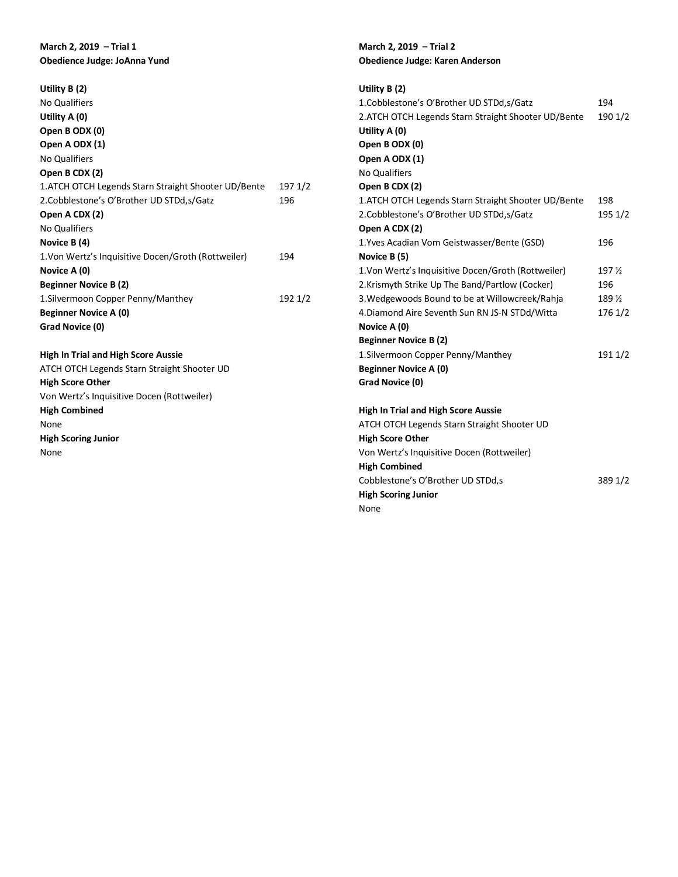## **March 2, 2019 – Trial 1 Obedience Judge: JoAnna Yund**

| Utility $B(2)$                                      |         |
|-----------------------------------------------------|---------|
| <b>No Qualifiers</b>                                |         |
| Utility A (0)                                       |         |
| Open B ODX (0)                                      |         |
| Open A ODX (1)                                      |         |
| <b>No Qualifiers</b>                                |         |
| Open B CDX (2)                                      |         |
| 1.ATCH OTCH Legends Starn Straight Shooter UD/Bente | 197 1/2 |
| 2.Cobblestone's O'Brother UD STDd, s/Gatz           | 196     |
| Open A CDX (2)                                      |         |
| <b>No Qualifiers</b>                                |         |
| Novice B (4)                                        |         |
| 1. Von Wertz's Inquisitive Docen/Groth (Rottweiler) | 194     |
| Novice A (0)                                        |         |
| <b>Beginner Novice B (2)</b>                        |         |
| 1. Silvermoon Copper Penny/Manthey                  | 192 1/2 |
| <b>Beginner Novice A (0)</b>                        |         |
| Grad Novice (0)                                     |         |
|                                                     |         |
| <b>High In Trial and High Score Aussie</b>          |         |
| ATCH OTCH Legends Starn Straight Shooter UD         |         |
| <b>High Score Other</b>                             |         |
| Von Wertz's Inquisitive Docen (Rottweiler)          |         |
| <b>High Combined</b>                                |         |

None

**High Scoring Junior**

None

## **March 2, 2019 – Trial 2 Obedience Judge: Karen Anderson**

| Utility $B(2)$                                       |                   |
|------------------------------------------------------|-------------------|
| 1.Cobblestone's O'Brother UD STDd, s/Gatz            | 194               |
| 2.ATCH OTCH Legends Starn Straight Shooter UD/Bente  | 190 1/2           |
| Utility A (0)                                        |                   |
| Open B ODX (0)                                       |                   |
| Open A ODX (1)                                       |                   |
| <b>No Qualifiers</b>                                 |                   |
| Open B CDX (2)                                       |                   |
| 1. ATCH OTCH Legends Starn Straight Shooter UD/Bente | 198               |
| 2.Cobblestone's O'Brother UD STDd, s/Gatz            | 195 1/2           |
| Open A CDX (2)                                       |                   |
| 1. Yves Acadian Vom Geistwasser/Bente (GSD)          | 196               |
| Novice B (5)                                         |                   |
| 1. Von Wertz's Inquisitive Docen/Groth (Rottweiler)  | 197 %             |
| 2.Krismyth Strike Up The Band/Partlow (Cocker)       | 196               |
| 3. Wedgewoods Bound to be at Willowcreek/Rahja       | 189 $\frac{1}{2}$ |
| 4. Diamond Aire Seventh Sun RN JS-N STDd/Witta       | 176 1/2           |
| Novice A (0)                                         |                   |
| <b>Beginner Novice B (2)</b>                         |                   |
| 1. Silvermoon Copper Penny/Manthey                   | 191 1/2           |
| <b>Beginner Novice A (0)</b>                         |                   |
| Grad Novice (0)                                      |                   |
|                                                      |                   |
| <b>High In Trial and High Score Aussie</b>           |                   |
| ATCH OTCH Legends Starn Straight Shooter UD          |                   |
| <b>High Score Other</b>                              |                   |
| Von Wertz's Inquisitive Docen (Rottweiler)           |                   |

Von Wertz's Inquisitive Docen (Rottweiler) **High Combined** Cobblestone's O'Brother UD STDd,s 389 1/2 **High Scoring Junior** None